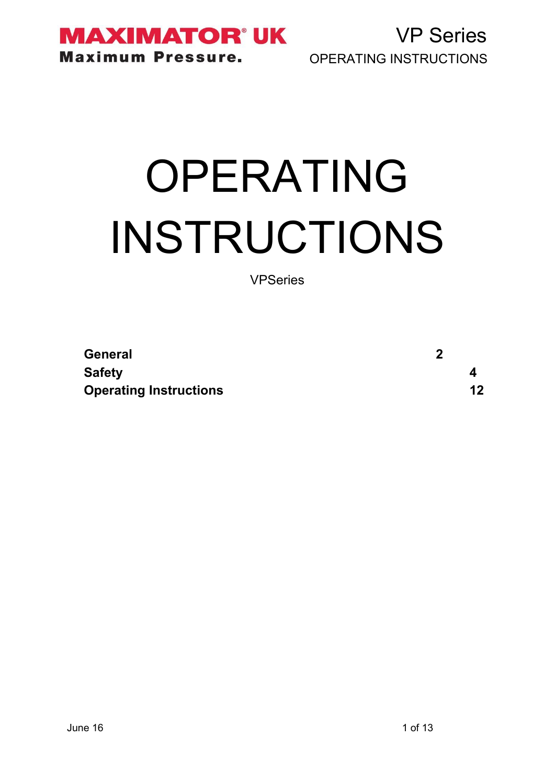**MAXIMATOR° UK Maximum Pressure.** 

VP Series OPERATING INSTRUCTIONS

# OPERATING INSTRUCTIONS

VPSeries

| General                       | n |         |
|-------------------------------|---|---------|
| <b>Safety</b>                 |   |         |
| <b>Operating Instructions</b> |   | $12 \,$ |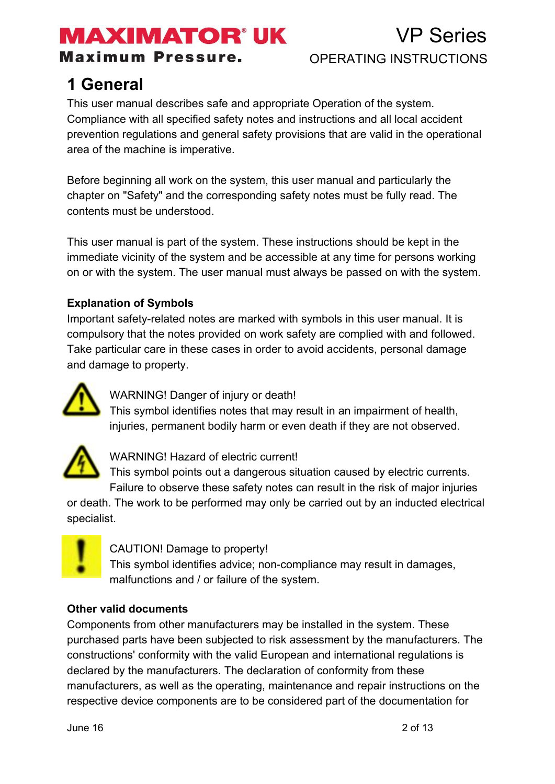**Maximum Pressure.** 

### VP Series OPERATING INSTRUCTIONS

### **1 General**

This user manual describes safe and appropriate Operation of the system. Compliance with all specified safety notes and instructions and all local accident prevention regulations and general safety provisions that are valid in the operational area of the machine is imperative.

Before beginning all work on the system, this user manual and particularly the chapter on "Safety" and the corresponding safety notes must be fully read. The contents must be understood.

This user manual is part of the system. These instructions should be kept in the immediate vicinity of the system and be accessible at any time for persons working on or with the system. The user manual must always be passed on with the system.

#### **Explanation of Symbols**

Important safety-related notes are marked with symbols in this user manual. It is compulsory that the notes provided on work safety are complied with and followed. Take particular care in these cases in order to avoid accidents, personal damage and damage to property.



WARNING! Danger of injury or death!

This symbol identifies notes that may result in an impairment of health, injuries, permanent bodily harm or even death if they are not observed.



WARNING! Hazard of electric current!

This symbol points out a dangerous situation caused by electric currents. Failure to observe these safety notes can result in the risk of major injuries

or death. The work to be performed may only be carried out by an inducted electrical specialist.



CAUTION! Damage to property!

This symbol identifies advice; non-compliance may result in damages, malfunctions and / or failure of the system.

#### **Other valid documents**

Components from other manufacturers may be installed in the system. These purchased parts have been subjected to risk assessment by the manufacturers. The constructions' conformity with the valid European and international regulations is declared by the manufacturers. The declaration of conformity from these manufacturers, as well as the operating, maintenance and repair instructions on the respective device components are to be considered part of the documentation for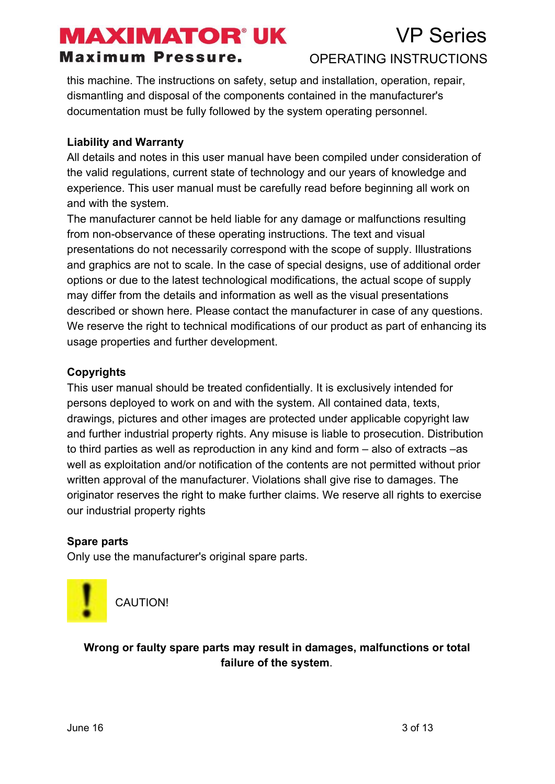### VP Series

#### **Maximum Pressure.**

#### OPERATING INSTRUCTIONS

this machine. The instructions on safety, setup and installation, operation, repair, dismantling and disposal of the components contained in the manufacturer's documentation must be fully followed by the system operating personnel.

#### **Liability and Warranty**

All details and notes in this user manual have been compiled under consideration of the valid regulations, current state of technology and our years of knowledge and experience. This user manual must be carefully read before beginning all work on and with the system.

The manufacturer cannot be held liable for any damage or malfunctions resulting from non-observance of these operating instructions. The text and visual presentations do not necessarily correspond with the scope of supply. Illustrations and graphics are not to scale. In the case of special designs, use of additional order options or due to the latest technological modifications, the actual scope of supply may differ from the details and information as well as the visual presentations described or shown here. Please contact the manufacturer in case of any questions. We reserve the right to technical modifications of our product as part of enhancing its usage properties and further development.

#### **Copyrights**

This user manual should be treated confidentially. It is exclusively intended for persons deployed to work on and with the system. All contained data, texts, drawings, pictures and other images are protected under applicable copyright law and further industrial property rights. Any misuse is liable to prosecution. Distribution to third parties as well as reproduction in any kind and form – also of extracts –as well as exploitation and/or notification of the contents are not permitted without prior written approval of the manufacturer. Violations shall give rise to damages. The originator reserves the right to make further claims. We reserve all rights to exercise our industrial property rights

#### **Spare parts**

Only use the manufacturer's original spare parts.



CAUTION!

**Wrong or faulty spare parts may result in damages, malfunctions or total failure of the system**.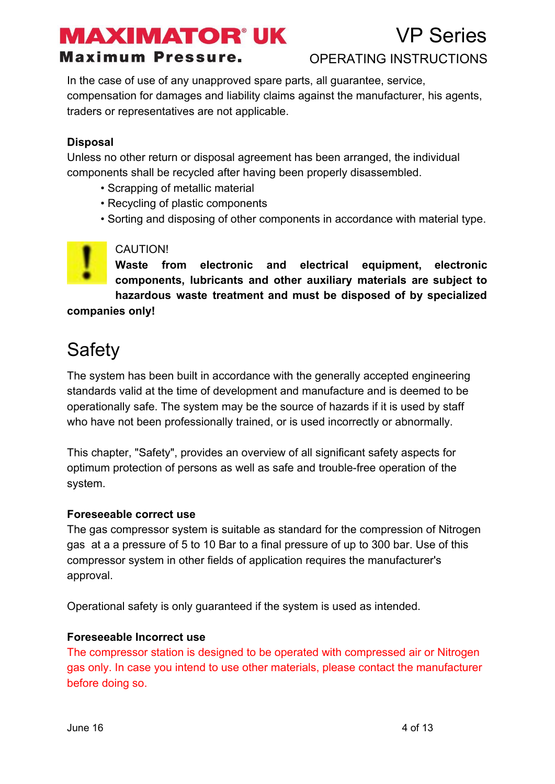### VP Series

#### **Maximum Pressure.**

#### OPERATING INSTRUCTIONS

In the case of use of any unapproved spare parts, all guarantee, service, compensation for damages and liability claims against the manufacturer, his agents, traders or representatives are not applicable.

#### **Disposal**

Unless no other return or disposal agreement has been arranged, the individual components shall be recycled after having been properly disassembled.

- Scrapping of metallic material
- Recycling of plastic components
- Sorting and disposing of other components in accordance with material type.

#### CAUTION!

**Waste from electronic and electrical equipment, electronic components, lubricants and other auxiliary materials are subject to hazardous waste treatment and must be disposed of by specialized companies only!**

### **Safety**

The system has been built in accordance with the generally accepted engineering standards valid at the time of development and manufacture and is deemed to be operationally safe. The system may be the source of hazards if it is used by staff who have not been professionally trained, or is used incorrectly or abnormally.

This chapter, "Safety", provides an overview of all significant safety aspects for optimum protection of persons as well as safe and trouble-free operation of the system.

#### **Foreseeable correct use**

The gas compressor system is suitable as standard for the compression of Nitrogen gas at a a pressure of 5 to 10 Bar to a final pressure of up to 300 bar. Use of this compressor system in other fields of application requires the manufacturer's approval.

Operational safety is only guaranteed if the system is used as intended.

#### **Foreseeable Incorrect use**

The compressor station is designed to be operated with compressed air or Nitrogen gas only. In case you intend to use other materials, please contact the manufacturer before doing so.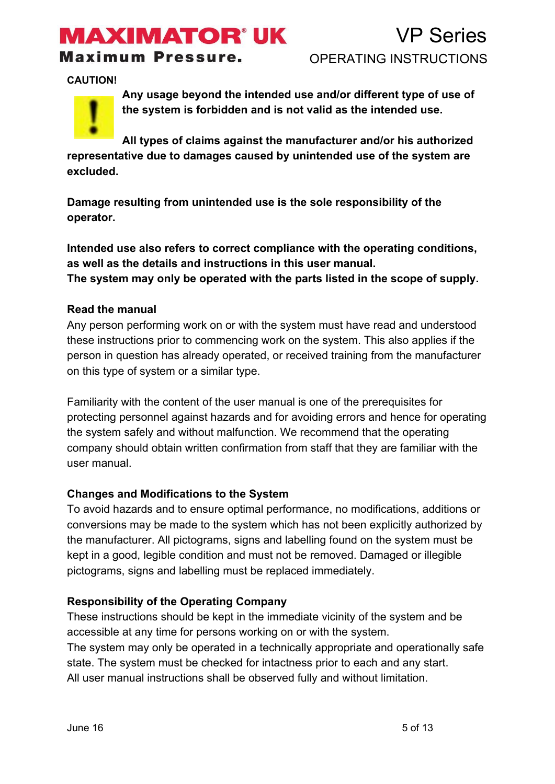# **MAXIMATOR' UK**

#### **Maximum Pressure.**

**CAUTION!**



**Any usage beyond the intended use and/or different type of use of the system is forbidden and is not valid as the intended use.**

**All types of claims against the manufacturer and/or his authorized representative due to damages caused by unintended use of the system are excluded.**

**Damage resulting from unintended use is the sole responsibility of the operator.**

**Intended use also refers to correct compliance with the operating conditions, as well as the details and instructions in this user manual. The system may only be operated with the parts listed in the scope of supply.**

#### **Read the manual**

Any person performing work on or with the system must have read and understood these instructions prior to commencing work on the system. This also applies if the person in question has already operated, or received training from the manufacturer on this type of system or a similar type.

Familiarity with the content of the user manual is one of the prerequisites for protecting personnel against hazards and for avoiding errors and hence for operating the system safely and without malfunction. We recommend that the operating company should obtain written confirmation from staff that they are familiar with the user manual.

#### **Changes and Modifications to the System**

To avoid hazards and to ensure optimal performance, no modifications, additions or conversions may be made to the system which has not been explicitly authorized by the manufacturer. All pictograms, signs and labelling found on the system must be kept in a good, legible condition and must not be removed. Damaged or illegible pictograms, signs and labelling must be replaced immediately.

#### **Responsibility of the Operating Company**

These instructions should be kept in the immediate vicinity of the system and be accessible at any time for persons working on or with the system. The system may only be operated in a technically appropriate and operationally safe state. The system must be checked for intactness prior to each and any start. All user manual instructions shall be observed fully and without limitation.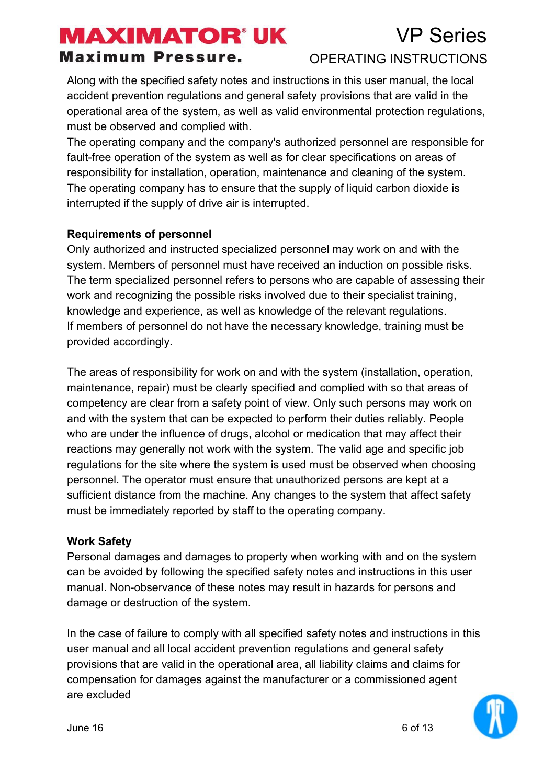#### **Maximum Pressure.**

#### OPERATING INSTRUCTIONS

Along with the specified safety notes and instructions in this user manual, the local accident prevention regulations and general safety provisions that are valid in the operational area of the system, as well as valid environmental protection regulations, must be observed and complied with.

The operating company and the company's authorized personnel are responsible for fault-free operation of the system as well as for clear specifications on areas of responsibility for installation, operation, maintenance and cleaning of the system. The operating company has to ensure that the supply of liquid carbon dioxide is interrupted if the supply of drive air is interrupted.

#### **Requirements of personnel**

Only authorized and instructed specialized personnel may work on and with the system. Members of personnel must have received an induction on possible risks. The term specialized personnel refers to persons who are capable of assessing their work and recognizing the possible risks involved due to their specialist training, knowledge and experience, as well as knowledge of the relevant regulations. If members of personnel do not have the necessary knowledge, training must be provided accordingly.

The areas of responsibility for work on and with the system (installation, operation, maintenance, repair) must be clearly specified and complied with so that areas of competency are clear from a safety point of view. Only such persons may work on and with the system that can be expected to perform their duties reliably. People who are under the influence of drugs, alcohol or medication that may affect their reactions may generally not work with the system. The valid age and specific job regulations for the site where the system is used must be observed when choosing personnel. The operator must ensure that unauthorized persons are kept at a sufficient distance from the machine. Any changes to the system that affect safety must be immediately reported by staff to the operating company.

#### **Work Safety**

Personal damages and damages to property when working with and on the system can be avoided by following the specified safety notes and instructions in this user manual. Non-observance of these notes may result in hazards for persons and damage or destruction of the system.

In the case of failure to comply with all specified safety notes and instructions in this user manual and all local accident prevention regulations and general safety provisions that are valid in the operational area, all liability claims and claims for compensation for damages against the manufacturer or a commissioned agent are excluded

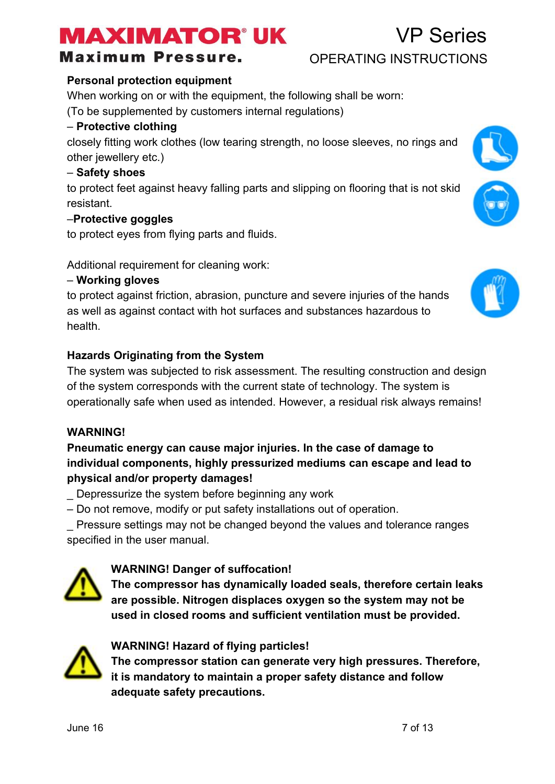#### **Maximum Pressure.**

#### $June 16$   $7$  of 13

**Personal protection equipment** When working on or with the equipment, the following shall be worn:

(To be supplemented by customers internal regulations)

#### – **Protective clothing**

closely fitting work clothes (low tearing strength, no loose sleeves, no rings and other jewellery etc.)

#### – **Safety shoes**

to protect feet against heavy falling parts and slipping on flooring that is not skid resistant.

#### –**Protective goggles**

to protect eyes from flying parts and fluids.

Additional requirement for cleaning work:

#### – **Working gloves**

to protect against friction, abrasion, puncture and severe injuries of the hands as well as against contact with hot surfaces and substances hazardous to health.

#### **Hazards Originating from the System**

The system was subjected to risk assessment. The resulting construction and design of the system corresponds with the current state of technology. The system is operationally safe when used as intended. However, a residual risk always remains!

#### **WARNING!**

#### **Pneumatic energy can cause major injuries. In the case of damage to individual components, highly pressurized mediums can escape and lead to physical and/or property damages!**

\_ Depressurize the system before beginning any work

– Do not remove, modify or put safety installations out of operation.

\_ Pressure settings may not be changed beyond the values and tolerance ranges specified in the user manual.

#### **WARNING! Danger of suffocation!**

**The compressor has dynamically loaded seals, therefore certain leaks are possible. Nitrogen displaces oxygen so the system may not be used in closed rooms and sufficient ventilation must be provided.**



**The compressor station can generate very high pressures. Therefore, it is mandatory to maintain a proper safety distance and follow adequate safety precautions.**







### OPERATING INSTRUCTIONS

VP Series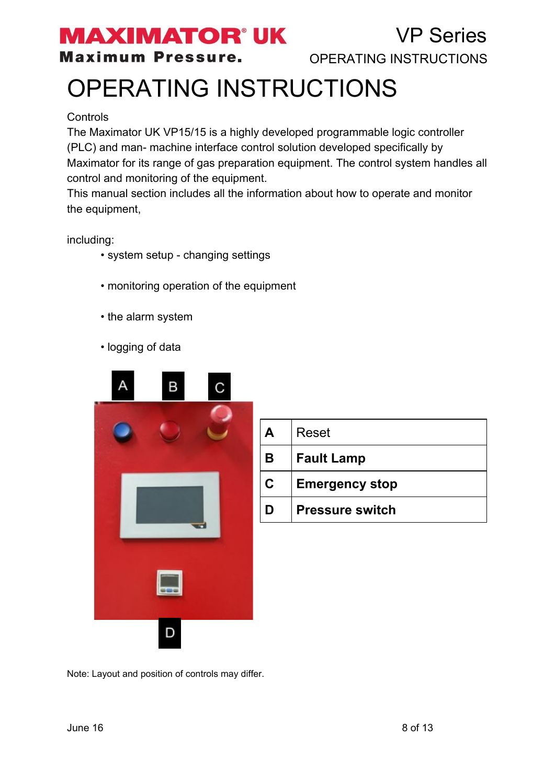### **MAXIMATOR' UK**

**Maximum Pressure.** 

VP Series OPERATING INSTRUCTIONS

# OPERATING INSTRUCTIONS

#### **Controls**

The Maximator UK VP15/15 is a highly developed programmable logic controller (PLC) and man- machine interface control solution developed specifically by Maximator for its range of gas preparation equipment. The control system handles all control and monitoring of the equipment.

This manual section includes all the information about how to operate and monitor the equipment,

including:

- system setup changing settings
- monitoring operation of the equipment
- the alarm system
- logging of data



| A           | Reset                  |
|-------------|------------------------|
| в           | <b>Fault Lamp</b>      |
| $\mathbf C$ | <b>Emergency stop</b>  |
| D           | <b>Pressure switch</b> |

Note: Layout and position of controls may differ.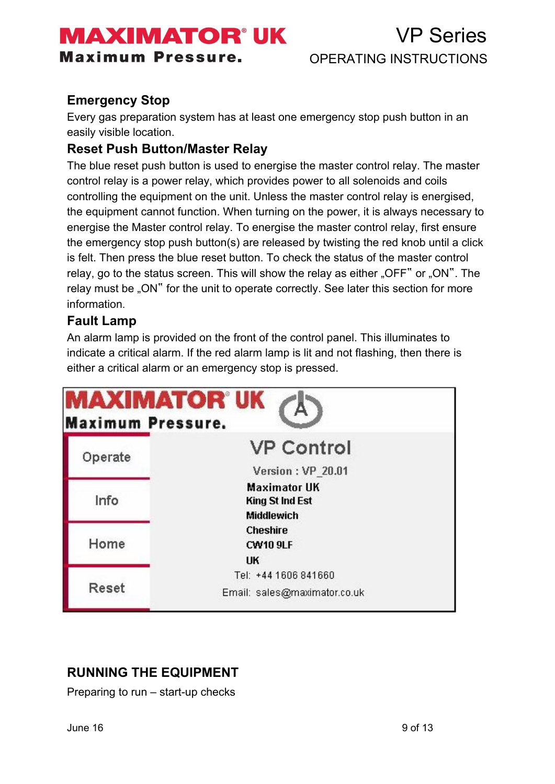**Maximum Pressure.** 

### VP Series OPERATING INSTRUCTIONS

#### **Emergency Stop**

Every gas preparation system has at least one emergency stop push button in an easily visible location.

#### **Reset Push Button/Master Relay**

The blue reset push button is used to energise the master control relay. The master control relay is a power relay, which provides power to all solenoids and coils controlling the equipment on the unit. Unless the master control relay is energised, the equipment cannot function. When turning on the power, it is always necessary to energise the Master control relay. To energise the master control relay, first ensure the emergency stop push button(s) are released by twisting the red knob until a click is felt. Then press the blue reset button. To check the status of the master control relay, go to the status screen. This will show the relay as either "OFF" or "ON". The relay must be "ON" for the unit to operate correctly. See later this section for more information.

#### **Fault Lamp**

An alarm lamp is provided on the front of the control panel. This illuminates to indicate a critical alarm. If the red alarm lamp is lit and not flashing, then there is either a critical alarm or an emergency stop is pressed.

| <b>Maximum Pressure.</b> | <b>MAXIMATOR®UK</b>                           |
|--------------------------|-----------------------------------------------|
| Operate                  | <b>VP Control</b>                             |
|                          | Version: VP 20.01                             |
| Info                     | <b>Maximator UK</b><br><b>King St Ind Est</b> |
|                          | <b>Middlewich</b>                             |
| Home                     | <b>Cheshire</b><br><b>CW10 9LF</b>            |
|                          | UK                                            |
|                          | Tel: +44 1606 841660                          |
| Reset                    | Email: sales@maximator.co.uk                  |

#### **RUNNING THE EQUIPMENT**

Preparing to run – start-up checks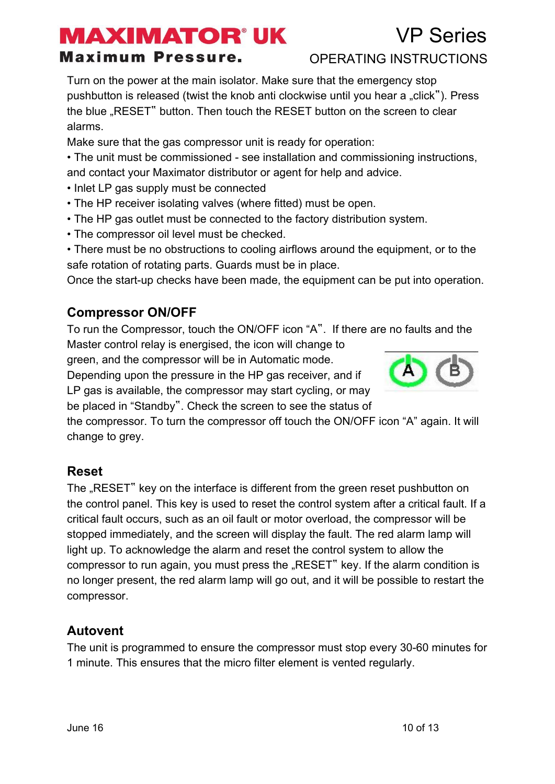### VP Series

#### **Maximum Pressure.**

OPERATING INSTRUCTIONS

Turn on the power at the main isolator. Make sure that the emergency stop pushbutton is released (twist the knob anti clockwise until you hear a "click"). Press the blue "RESET" button. Then touch the RESET button on the screen to clear alarms.

Make sure that the gas compressor unit is ready for operation:

• The unit must be commissioned - see installation and commissioning instructions, and contact your Maximator distributor or agent for help and advice.

- Inlet LP gas supply must be connected
- The HP receiver isolating valves (where fitted) must be open.
- The HP gas outlet must be connected to the factory distribution system.
- The compressor oil level must be checked.

• There must be no obstructions to cooling airflows around the equipment, or to the safe rotation of rotating parts. Guards must be in place.

Once the start-up checks have been made, the equipment can be put into operation.

#### **Compressor ON/OFF**

To run the Compressor, touch the ON/OFF icon "A". If there are no faults and the Master control relay is energised, the icon will change to

green, and the compressor will be in Automatic mode.

Depending upon the pressure in the HP gas receiver, and if LP gas is available, the compressor may start cycling, or may be placed in "Standby". Check the screen to see the status of



the compressor. To turn the compressor off touch the ON/OFF icon "A" again. It will change to grey.

#### **Reset**

The "RESET" key on the interface is different from the green reset pushbutton on the control panel. This key is used to reset the control system after a critical fault. If a critical fault occurs, such as an oil fault or motor overload, the compressor will be stopped immediately, and the screen will display the fault. The red alarm lamp will light up. To acknowledge the alarm and reset the control system to allow the compressor to run again, you must press the "RESET" key. If the alarm condition is no longer present, the red alarm lamp will go out, and it will be possible to restart the compressor.

#### **Autovent**

The unit is programmed to ensure the compressor must stop every 30-60 minutes for 1 minute. This ensures that the micro filter element is vented regularly.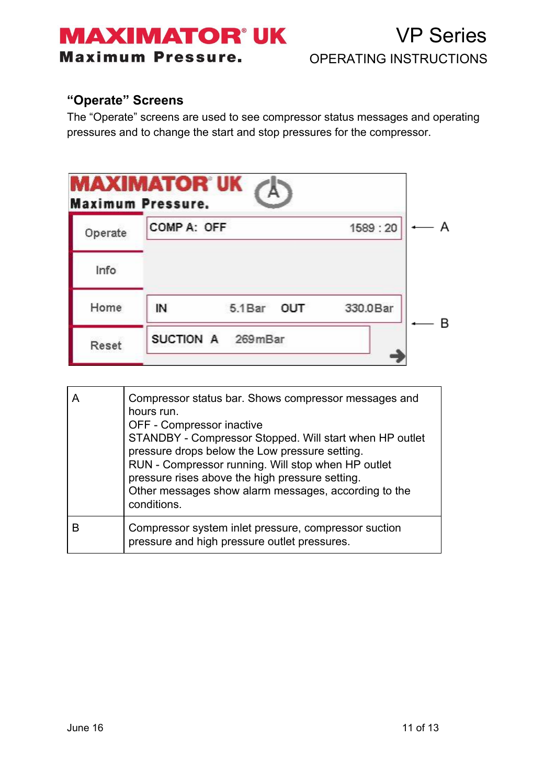### **MAXIMATOR'UK Maximum Pressure.**

VP Series OPERATING INSTRUCTIONS

#### **"Operate" Screens**

The "Operate" screens are used to see compressor status messages and operating pressures and to change the start and stop pressures for the compressor.

|         | <b>MAXIMATOR UK</b><br><b>Maximum Pressure.</b> |                   |          |   |
|---------|-------------------------------------------------|-------------------|----------|---|
| Operate | COMP A: OFF                                     |                   | 1589:20  | А |
| Info    |                                                 |                   |          |   |
| Home    | IN                                              | 5.1Bar OUT        | 330.0Bar | в |
| Reset   |                                                 | SUCTION A 269mBar |          |   |

| Compressor status bar. Shows compressor messages and<br>hours run.<br>OFF - Compressor inactive<br>STANDBY - Compressor Stopped. Will start when HP outlet<br>pressure drops below the Low pressure setting.<br>RUN - Compressor running. Will stop when HP outlet<br>pressure rises above the high pressure setting.<br>Other messages show alarm messages, according to the<br>conditions. |
|----------------------------------------------------------------------------------------------------------------------------------------------------------------------------------------------------------------------------------------------------------------------------------------------------------------------------------------------------------------------------------------------|
| Compressor system inlet pressure, compressor suction<br>pressure and high pressure outlet pressures.                                                                                                                                                                                                                                                                                         |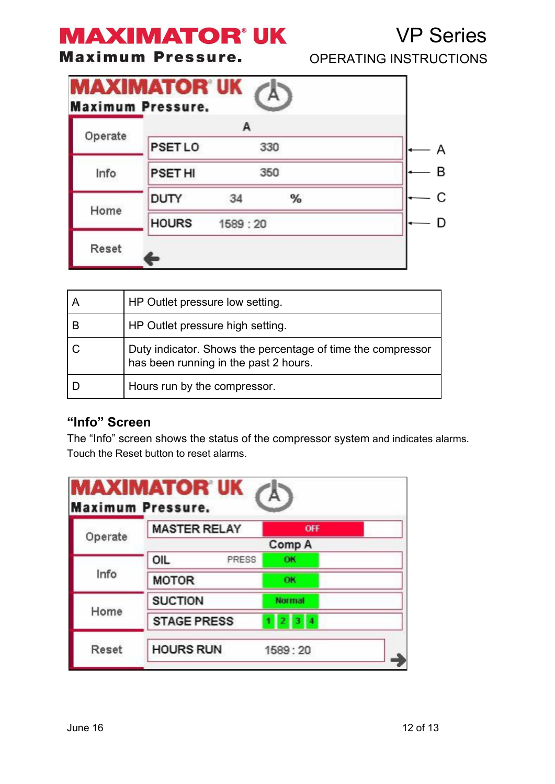#### **Maximum Pressur**

| е. | <b>OPERATING INSTRUCTIONS</b> |  |
|----|-------------------------------|--|
|    |                               |  |

VP Series

|         |                | А         |     |  |
|---------|----------------|-----------|-----|--|
| Operate | <b>PSET LO</b> |           | 330 |  |
| Info    | <b>PSET HI</b> |           | 350 |  |
|         | <b>DUTY</b>    | 34        | %   |  |
| Home    | <b>HOURS</b>   | 1589 : 20 |     |  |

| HP Outlet pressure low setting.                                                                      |
|------------------------------------------------------------------------------------------------------|
| HP Outlet pressure high setting.                                                                     |
| Duty indicator. Shows the percentage of time the compressor<br>has been running in the past 2 hours. |
| Hours run by the compressor.                                                                         |

#### **"Info" Screen**

The "Info" screen shows the status of the compressor system and indicates alarms. Touch the Reset button to reset alarms.

|         | <b>MASTER RELAY</b> | OFF                        |  |
|---------|---------------------|----------------------------|--|
| Operate | Comp A              |                            |  |
| Info    | OIL<br>PRESS        | OK                         |  |
|         | <b>MOTOR</b>        | OK                         |  |
| Home    | <b>SUCTION</b>      | <b>Normal</b>              |  |
|         | <b>STAGE PRESS</b>  | 13<br>14<br>$\overline{2}$ |  |